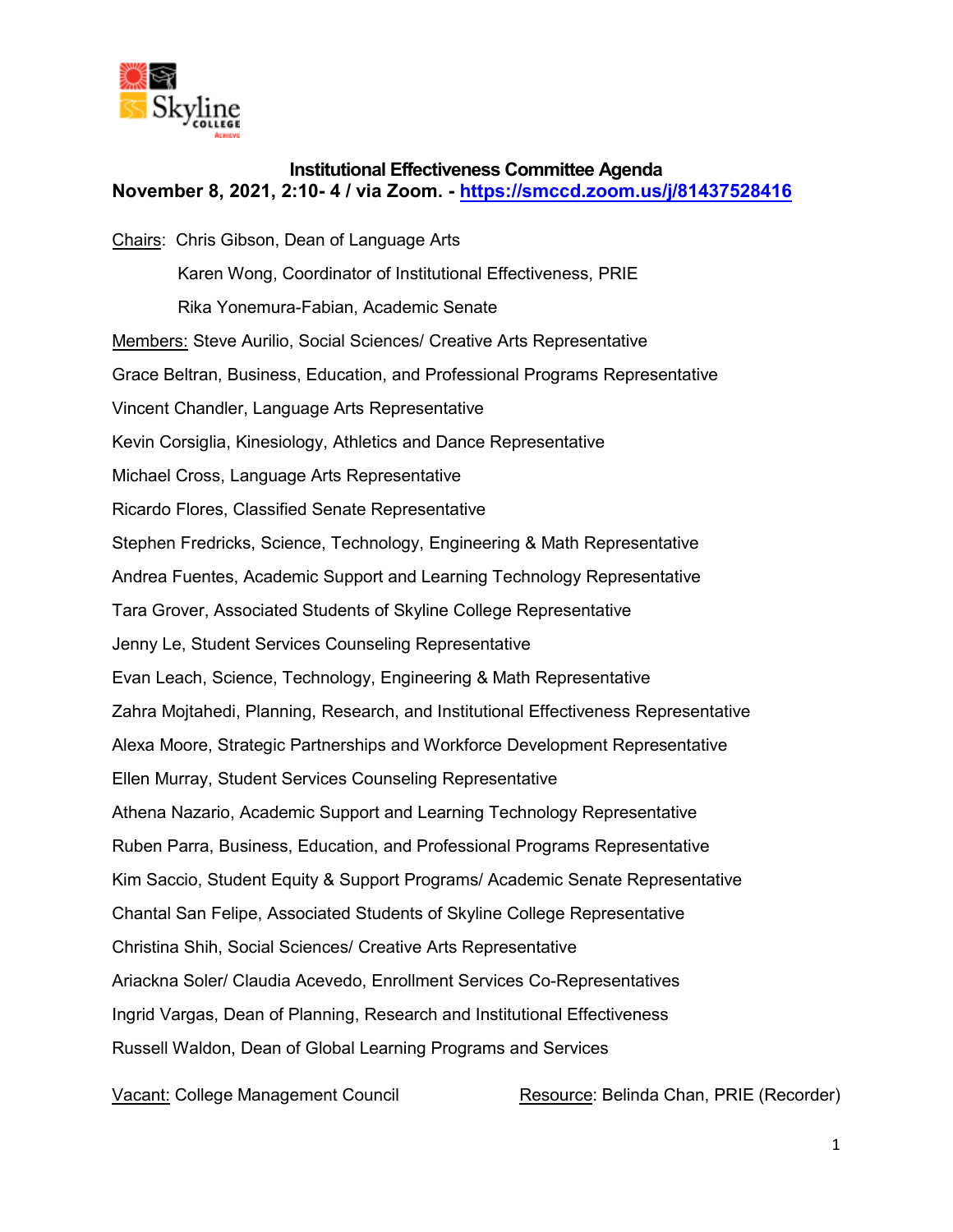

# **Institutional Effectiveness Committee Agenda November 8, 2021, 2:10- 4 / via Zoom. -<https://smccd.zoom.us/j/81437528416>**

Chairs: Chris Gibson, Dean of Language Arts Karen Wong, Coordinator of Institutional Effectiveness, PRIE Rika Yonemura-Fabian, Academic Senate Members: Steve Aurilio, Social Sciences/ Creative Arts Representative Grace Beltran, Business, Education, and Professional Programs Representative Vincent Chandler, Language Arts Representative Kevin Corsiglia, Kinesiology, Athletics and Dance Representative Michael Cross, Language Arts Representative Ricardo Flores, Classified Senate Representative Stephen Fredricks, Science, Technology, Engineering & Math Representative Andrea Fuentes, Academic Support and Learning Technology Representative Tara Grover, Associated Students of Skyline College Representative Jenny Le, Student Services Counseling Representative Evan Leach, Science, Technology, Engineering & Math Representative Zahra Mojtahedi, Planning, Research, and Institutional Effectiveness Representative Alexa Moore, Strategic Partnerships and Workforce Development Representative Ellen Murray, Student Services Counseling Representative Athena Nazario, Academic Support and Learning Technology Representative Ruben Parra, Business, Education, and Professional Programs Representative Kim Saccio, Student Equity & Support Programs/ Academic Senate Representative Chantal San Felipe, Associated Students of Skyline College Representative Christina Shih, Social Sciences/ Creative Arts Representative Ariackna Soler/ Claudia Acevedo, Enrollment Services Co-Representatives Ingrid Vargas, Dean of Planning, Research and Institutional Effectiveness Russell Waldon, Dean of Global Learning Programs and Services

Vacant: College Management Council Resource: Belinda Chan, PRIE (Recorder)